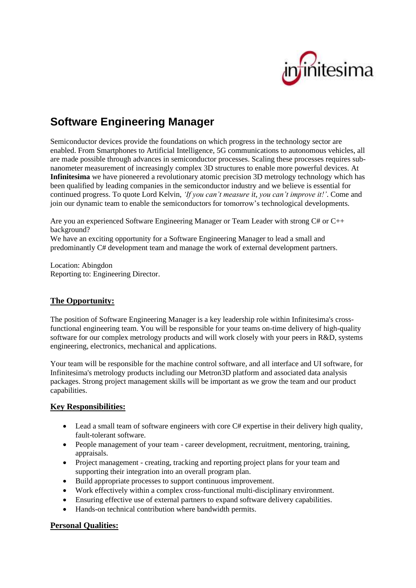# iitesima

# **Software Engineering Manager**

Semiconductor devices provide the foundations on which progress in the technology sector are enabled. From Smartphones to Artificial Intelligence, 5G communications to autonomous vehicles, all are made possible through advances in semiconductor processes. Scaling these processes requires subnanometer measurement of increasingly complex 3D structures to enable more powerful devices. At **Infinitesima** we have pioneered a revolutionary atomic precision 3D metrology technology which has been qualified by leading companies in the semiconductor industry and we believe is essential for continued progress. To quote Lord Kelvin, *'If you can't measure it, you can't improve it!'*. Come and join our dynamic team to enable the semiconductors for tomorrow's technological developments.

Are you an experienced Software Engineering Manager or Team Leader with strong C# or C++ background? We have an exciting opportunity for a Software Engineering Manager to lead a small and

predominantly C# development team and manage the work of external development partners.

Location: Abingdon Reporting to: Engineering Director.

# **The Opportunity:**

The position of Software Engineering Manager is a key leadership role within Infinitesima's crossfunctional engineering team. You will be responsible for your teams on-time delivery of high-quality software for our complex metrology products and will work closely with your peers in R&D, systems engineering, electronics, mechanical and applications.

Your team will be responsible for the machine control software, and all interface and UI software, for Infinitesima's metrology products including our Metron3D platform and associated data analysis packages. Strong project management skills will be important as we grow the team and our product capabilities.

# **Key Responsibilities:**

- Lead a small team of software engineers with core C# expertise in their delivery high quality, fault-tolerant software.
- People management of your team career development, recruitment, mentoring, training, appraisals.
- Project management creating, tracking and reporting project plans for your team and supporting their integration into an overall program plan.
- Build appropriate processes to support continuous improvement.
- Work effectively within a complex cross-functional multi-disciplinary environment.
- Ensuring effective use of external partners to expand software delivery capabilities.
- Hands-on technical contribution where bandwidth permits.

# **Personal Qualities:**